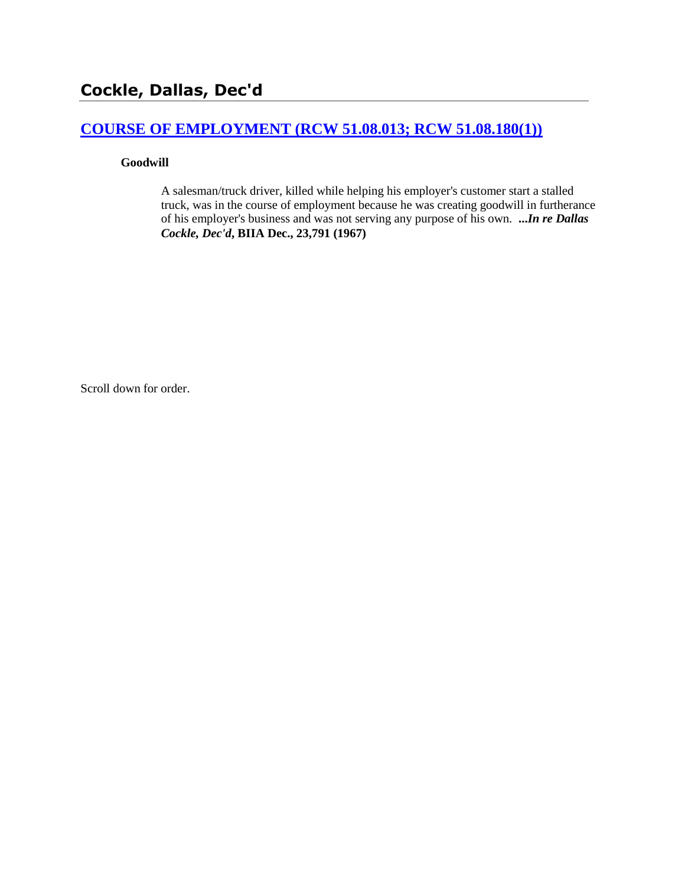# **[COURSE OF EMPLOYMENT \(RCW 51.08.013; RCW 51.08.180\(1\)\)](http://www.biia.wa.gov/SDSubjectIndex.html#COURSE_OF_EMPLOYMENT)**

#### **Goodwill**

A salesman/truck driver, killed while helping his employer's customer start a stalled truck, was in the course of employment because he was creating goodwill in furtherance of his employer's business and was not serving any purpose of his own. **...***In re Dallas Cockle, Dec'd***, BIIA Dec., 23,791 (1967)**

Scroll down for order.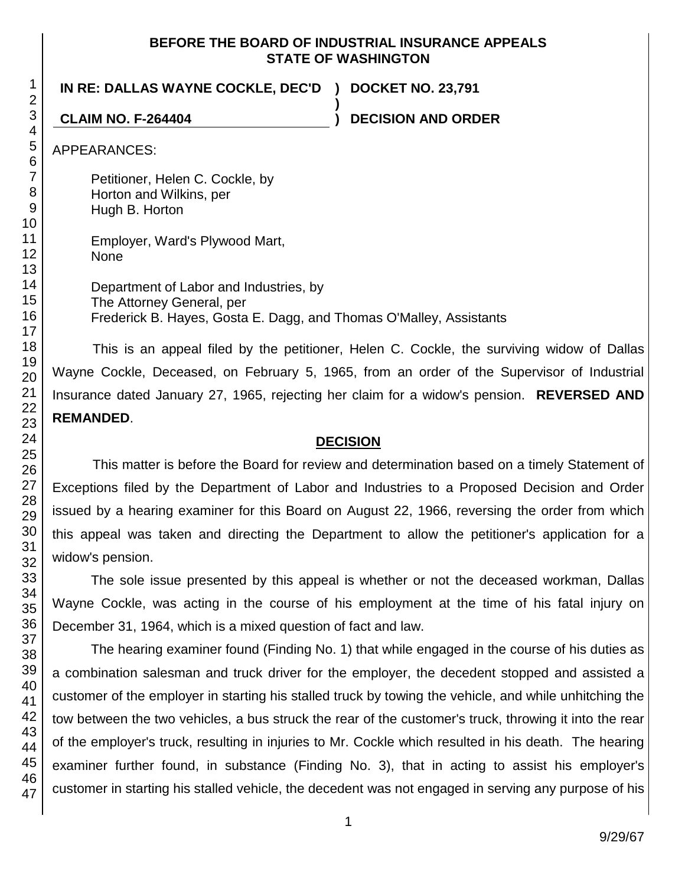#### **BEFORE THE BOARD OF INDUSTRIAL INSURANCE APPEALS STATE OF WASHINGTON**

**)**

**IN RE: DALLAS WAYNE COCKLE, DEC'D ) DOCKET NO. 23,791**

**CLAIM NO. F-264404 ) DECISION AND ORDER**

APPEARANCES:

Petitioner, Helen C. Cockle, by Horton and Wilkins, per Hugh B. Horton

Employer, Ward's Plywood Mart, None

Department of Labor and Industries, by The Attorney General, per Frederick B. Hayes, Gosta E. Dagg, and Thomas O'Malley, Assistants

This is an appeal filed by the petitioner, Helen C. Cockle, the surviving widow of Dallas Wayne Cockle, Deceased, on February 5, 1965, from an order of the Supervisor of Industrial Insurance dated January 27, 1965, rejecting her claim for a widow's pension. **REVERSED AND REMANDED**.

# **DECISION**

This matter is before the Board for review and determination based on a timely Statement of Exceptions filed by the Department of Labor and Industries to a Proposed Decision and Order issued by a hearing examiner for this Board on August 22, 1966, reversing the order from which this appeal was taken and directing the Department to allow the petitioner's application for a widow's pension.

The sole issue presented by this appeal is whether or not the deceased workman, Dallas Wayne Cockle, was acting in the course of his employment at the time of his fatal injury on December 31, 1964, which is a mixed question of fact and law.

The hearing examiner found (Finding No. 1) that while engaged in the course of his duties as a combination salesman and truck driver for the employer, the decedent stopped and assisted a customer of the employer in starting his stalled truck by towing the vehicle, and while unhitching the tow between the two vehicles, a bus struck the rear of the customer's truck, throwing it into the rear of the employer's truck, resulting in injuries to Mr. Cockle which resulted in his death. The hearing examiner further found, in substance (Finding No. 3), that in acting to assist his employer's customer in starting his stalled vehicle, the decedent was not engaged in serving any purpose of his

1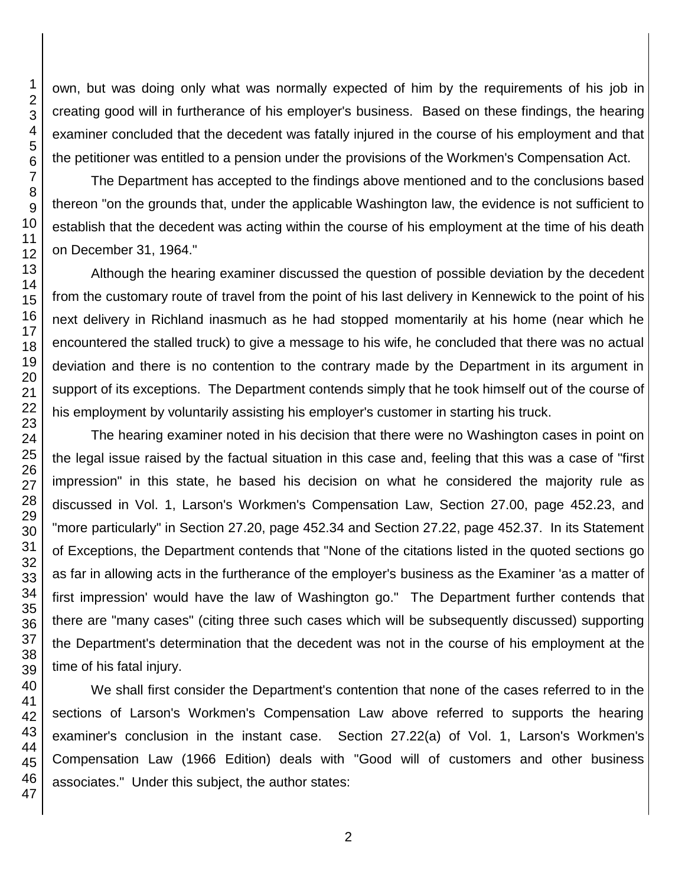own, but was doing only what was normally expected of him by the requirements of his job in creating good will in furtherance of his employer's business. Based on these findings, the hearing examiner concluded that the decedent was fatally injured in the course of his employment and that the petitioner was entitled to a pension under the provisions of the Workmen's Compensation Act.

The Department has accepted to the findings above mentioned and to the conclusions based thereon "on the grounds that, under the applicable Washington law, the evidence is not sufficient to establish that the decedent was acting within the course of his employment at the time of his death on December 31, 1964."

Although the hearing examiner discussed the question of possible deviation by the decedent from the customary route of travel from the point of his last delivery in Kennewick to the point of his next delivery in Richland inasmuch as he had stopped momentarily at his home (near which he encountered the stalled truck) to give a message to his wife, he concluded that there was no actual deviation and there is no contention to the contrary made by the Department in its argument in support of its exceptions. The Department contends simply that he took himself out of the course of his employment by voluntarily assisting his employer's customer in starting his truck.

The hearing examiner noted in his decision that there were no Washington cases in point on the legal issue raised by the factual situation in this case and, feeling that this was a case of "first impression" in this state, he based his decision on what he considered the majority rule as discussed in Vol. 1, Larson's Workmen's Compensation Law, Section 27.00, page 452.23, and "more particularly" in Section 27.20, page 452.34 and Section 27.22, page 452.37. In its Statement of Exceptions, the Department contends that "None of the citations listed in the quoted sections go as far in allowing acts in the furtherance of the employer's business as the Examiner 'as a matter of first impression' would have the law of Washington go." The Department further contends that there are "many cases" (citing three such cases which will be subsequently discussed) supporting the Department's determination that the decedent was not in the course of his employment at the time of his fatal injury.

We shall first consider the Department's contention that none of the cases referred to in the sections of Larson's Workmen's Compensation Law above referred to supports the hearing examiner's conclusion in the instant case. Section 27.22(a) of Vol. 1, Larson's Workmen's Compensation Law (1966 Edition) deals with "Good will of customers and other business associates." Under this subject, the author states: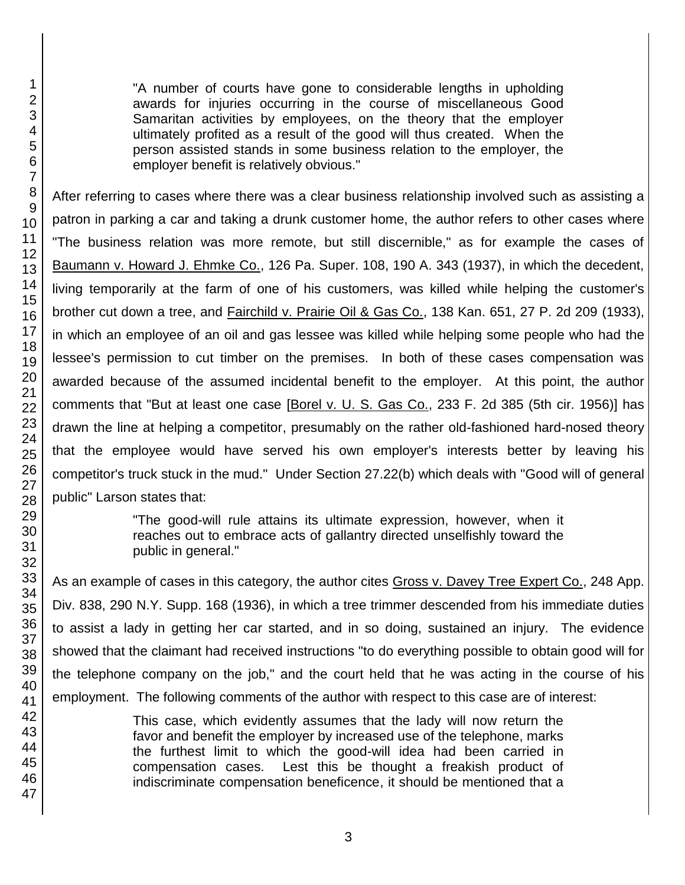"A number of courts have gone to considerable lengths in upholding awards for injuries occurring in the course of miscellaneous Good Samaritan activities by employees, on the theory that the employer ultimately profited as a result of the good will thus created. When the person assisted stands in some business relation to the employer, the employer benefit is relatively obvious."

After referring to cases where there was a clear business relationship involved such as assisting a patron in parking a car and taking a drunk customer home, the author refers to other cases where "The business relation was more remote, but still discernible," as for example the cases of Baumann v. Howard J. Ehmke Co., 126 Pa. Super. 108, 190 A. 343 (1937), in which the decedent, living temporarily at the farm of one of his customers, was killed while helping the customer's brother cut down a tree, and Fairchild v. Prairie Oil & Gas Co., 138 Kan. 651, 27 P. 2d 209 (1933), in which an employee of an oil and gas lessee was killed while helping some people who had the lessee's permission to cut timber on the premises. In both of these cases compensation was awarded because of the assumed incidental benefit to the employer. At this point, the author comments that "But at least one case [Borel v. U. S. Gas Co., 233 F. 2d 385 (5th cir. 1956)] has drawn the line at helping a competitor, presumably on the rather old-fashioned hard-nosed theory that the employee would have served his own employer's interests better by leaving his competitor's truck stuck in the mud." Under Section 27.22(b) which deals with "Good will of general public" Larson states that:

> "The good-will rule attains its ultimate expression, however, when it reaches out to embrace acts of gallantry directed unselfishly toward the public in general."

As an example of cases in this category, the author cites Gross v. Davey Tree Expert Co., 248 App. Div. 838, 290 N.Y. Supp. 168 (1936), in which a tree trimmer descended from his immediate duties to assist a lady in getting her car started, and in so doing, sustained an injury. The evidence showed that the claimant had received instructions "to do everything possible to obtain good will for the telephone company on the job," and the court held that he was acting in the course of his employment. The following comments of the author with respect to this case are of interest:

> This case, which evidently assumes that the lady will now return the favor and benefit the employer by increased use of the telephone, marks the furthest limit to which the good-will idea had been carried in compensation cases. Lest this be thought a freakish product of indiscriminate compensation beneficence, it should be mentioned that a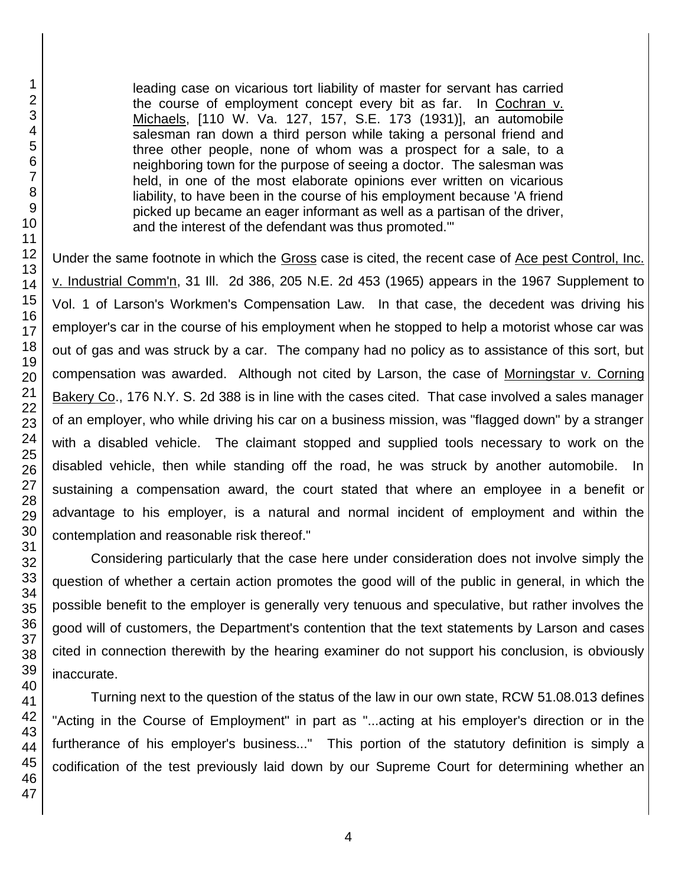leading case on vicarious tort liability of master for servant has carried the course of employment concept every bit as far. In Cochran v. Michaels, [110 W. Va. 127, 157, S.E. 173 (1931)], an automobile salesman ran down a third person while taking a personal friend and three other people, none of whom was a prospect for a sale, to a neighboring town for the purpose of seeing a doctor. The salesman was held, in one of the most elaborate opinions ever written on vicarious liability, to have been in the course of his employment because 'A friend picked up became an eager informant as well as a partisan of the driver, and the interest of the defendant was thus promoted.'"

Under the same footnote in which the Gross case is cited, the recent case of Ace pest Control, Inc. v. Industrial Comm'n, 31 Ill. 2d 386, 205 N.E. 2d 453 (1965) appears in the 1967 Supplement to Vol. 1 of Larson's Workmen's Compensation Law. In that case, the decedent was driving his employer's car in the course of his employment when he stopped to help a motorist whose car was out of gas and was struck by a car. The company had no policy as to assistance of this sort, but compensation was awarded. Although not cited by Larson, the case of Morningstar v. Corning Bakery Co., 176 N.Y. S. 2d 388 is in line with the cases cited. That case involved a sales manager of an employer, who while driving his car on a business mission, was "flagged down" by a stranger with a disabled vehicle. The claimant stopped and supplied tools necessary to work on the disabled vehicle, then while standing off the road, he was struck by another automobile. In sustaining a compensation award, the court stated that where an employee in a benefit or advantage to his employer, is a natural and normal incident of employment and within the contemplation and reasonable risk thereof."

Considering particularly that the case here under consideration does not involve simply the question of whether a certain action promotes the good will of the public in general, in which the possible benefit to the employer is generally very tenuous and speculative, but rather involves the good will of customers, the Department's contention that the text statements by Larson and cases cited in connection therewith by the hearing examiner do not support his conclusion, is obviously inaccurate.

Turning next to the question of the status of the law in our own state, RCW 51.08.013 defines "Acting in the Course of Employment" in part as "...acting at his employer's direction or in the furtherance of his employer's business..." This portion of the statutory definition is simply a codification of the test previously laid down by our Supreme Court for determining whether an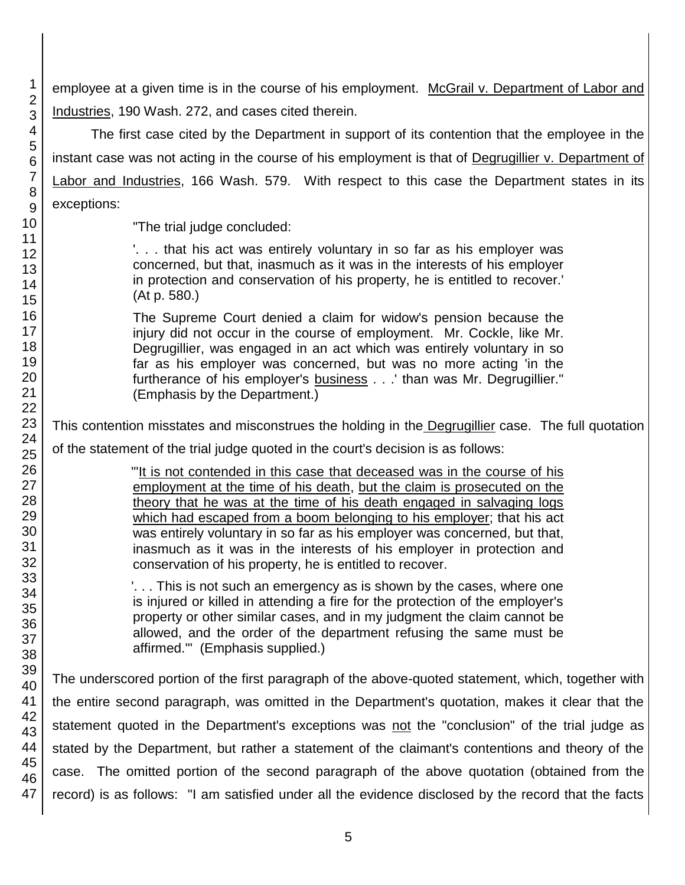employee at a given time is in the course of his employment. McGrail v. Department of Labor and Industries, 190 Wash. 272, and cases cited therein.

The first case cited by the Department in support of its contention that the employee in the instant case was not acting in the course of his employment is that of Degrugillier v. Department of Labor and Industries, 166 Wash. 579. With respect to this case the Department states in its exceptions:

"The trial judge concluded:

'. . . that his act was entirely voluntary in so far as his employer was concerned, but that, inasmuch as it was in the interests of his employer in protection and conservation of his property, he is entitled to recover.' (At p. 580.)

The Supreme Court denied a claim for widow's pension because the injury did not occur in the course of employment. Mr. Cockle, like Mr. Degrugillier, was engaged in an act which was entirely voluntary in so far as his employer was concerned, but was no more acting 'in the furtherance of his employer's business . . .' than was Mr. Degrugillier." (Emphasis by the Department.)

This contention misstates and misconstrues the holding in the Degrugillier case. The full quotation of the statement of the trial judge quoted in the court's decision is as follows:

> "'It is not contended in this case that deceased was in the course of his employment at the time of his death, but the claim is prosecuted on the theory that he was at the time of his death engaged in salvaging logs which had escaped from a boom belonging to his employer; that his act was entirely voluntary in so far as his employer was concerned, but that, inasmuch as it was in the interests of his employer in protection and conservation of his property, he is entitled to recover.

> '. . . This is not such an emergency as is shown by the cases, where one is injured or killed in attending a fire for the protection of the employer's property or other similar cases, and in my judgment the claim cannot be allowed, and the order of the department refusing the same must be affirmed.'" (Emphasis supplied.)

The underscored portion of the first paragraph of the above-quoted statement, which, together with the entire second paragraph, was omitted in the Department's quotation, makes it clear that the statement quoted in the Department's exceptions was not the "conclusion" of the trial judge as stated by the Department, but rather a statement of the claimant's contentions and theory of the case. The omitted portion of the second paragraph of the above quotation (obtained from the record) is as follows: "I am satisfied under all the evidence disclosed by the record that the facts

1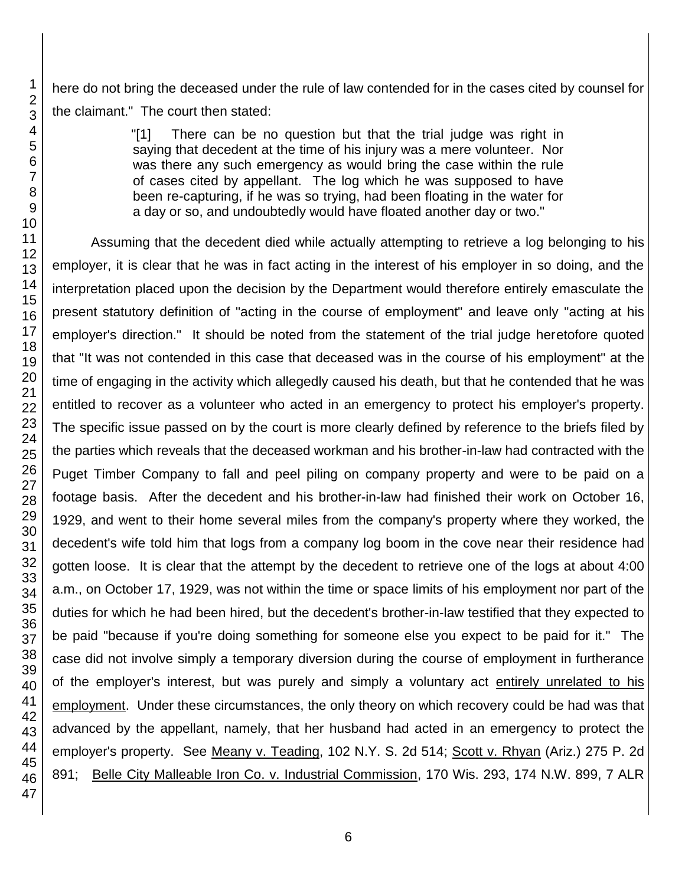here do not bring the deceased under the rule of law contended for in the cases cited by counsel for the claimant." The court then stated:

> "[1] There can be no question but that the trial judge was right in saying that decedent at the time of his injury was a mere volunteer. Nor was there any such emergency as would bring the case within the rule of cases cited by appellant. The log which he was supposed to have been re-capturing, if he was so trying, had been floating in the water for a day or so, and undoubtedly would have floated another day or two."

Assuming that the decedent died while actually attempting to retrieve a log belonging to his employer, it is clear that he was in fact acting in the interest of his employer in so doing, and the interpretation placed upon the decision by the Department would therefore entirely emasculate the present statutory definition of "acting in the course of employment" and leave only "acting at his employer's direction." It should be noted from the statement of the trial judge heretofore quoted that "It was not contended in this case that deceased was in the course of his employment" at the time of engaging in the activity which allegedly caused his death, but that he contended that he was entitled to recover as a volunteer who acted in an emergency to protect his employer's property. The specific issue passed on by the court is more clearly defined by reference to the briefs filed by the parties which reveals that the deceased workman and his brother-in-law had contracted with the Puget Timber Company to fall and peel piling on company property and were to be paid on a footage basis. After the decedent and his brother-in-law had finished their work on October 16, 1929, and went to their home several miles from the company's property where they worked, the decedent's wife told him that logs from a company log boom in the cove near their residence had gotten loose. It is clear that the attempt by the decedent to retrieve one of the logs at about 4:00 a.m., on October 17, 1929, was not within the time or space limits of his employment nor part of the duties for which he had been hired, but the decedent's brother-in-law testified that they expected to be paid "because if you're doing something for someone else you expect to be paid for it." The case did not involve simply a temporary diversion during the course of employment in furtherance of the employer's interest, but was purely and simply a voluntary act entirely unrelated to his employment. Under these circumstances, the only theory on which recovery could be had was that advanced by the appellant, namely, that her husband had acted in an emergency to protect the employer's property. See Meany v. Teading, 102 N.Y. S. 2d 514; Scott v. Rhyan (Ariz.) 275 P. 2d 891; Belle City Malleable Iron Co. v. Industrial Commission, 170 Wis. 293, 174 N.W. 899, 7 ALR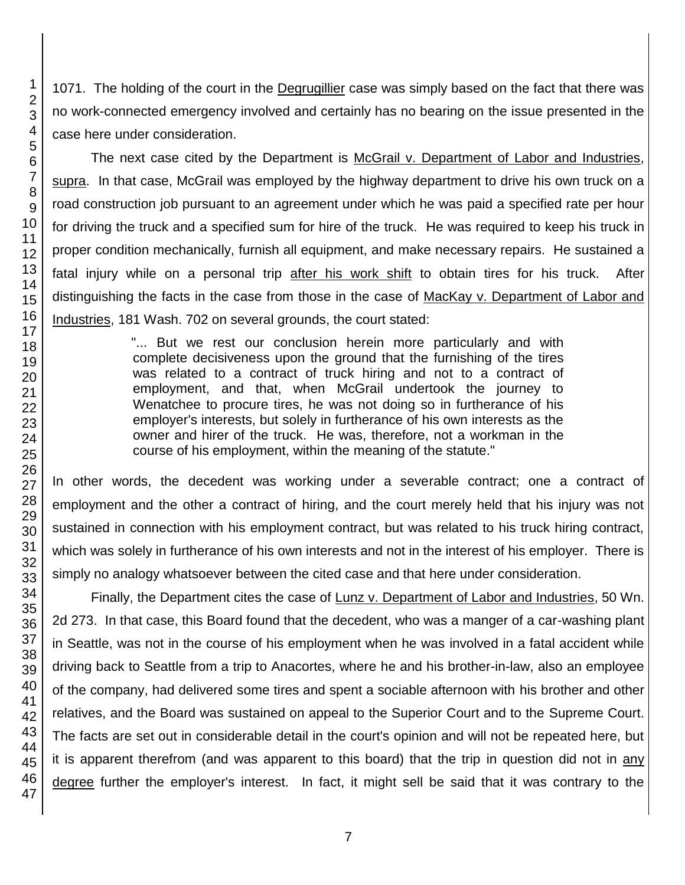1071. The holding of the court in the Degrugillier case was simply based on the fact that there was no work-connected emergency involved and certainly has no bearing on the issue presented in the case here under consideration.

The next case cited by the Department is McGrail v. Department of Labor and Industries, supra. In that case, McGrail was employed by the highway department to drive his own truck on a road construction job pursuant to an agreement under which he was paid a specified rate per hour for driving the truck and a specified sum for hire of the truck. He was required to keep his truck in proper condition mechanically, furnish all equipment, and make necessary repairs. He sustained a fatal injury while on a personal trip after his work shift to obtain tires for his truck. After distinguishing the facts in the case from those in the case of MacKay v. Department of Labor and Industries, 181 Wash. 702 on several grounds, the court stated:

> "... But we rest our conclusion herein more particularly and with complete decisiveness upon the ground that the furnishing of the tires was related to a contract of truck hiring and not to a contract of employment, and that, when McGrail undertook the journey to Wenatchee to procure tires, he was not doing so in furtherance of his employer's interests, but solely in furtherance of his own interests as the owner and hirer of the truck. He was, therefore, not a workman in the course of his employment, within the meaning of the statute."

In other words, the decedent was working under a severable contract; one a contract of employment and the other a contract of hiring, and the court merely held that his injury was not sustained in connection with his employment contract, but was related to his truck hiring contract, which was solely in furtherance of his own interests and not in the interest of his employer. There is simply no analogy whatsoever between the cited case and that here under consideration.

Finally, the Department cites the case of Lunz v. Department of Labor and Industries, 50 Wn. 2d 273. In that case, this Board found that the decedent, who was a manger of a car-washing plant in Seattle, was not in the course of his employment when he was involved in a fatal accident while driving back to Seattle from a trip to Anacortes, where he and his brother-in-law, also an employee of the company, had delivered some tires and spent a sociable afternoon with his brother and other relatives, and the Board was sustained on appeal to the Superior Court and to the Supreme Court. The facts are set out in considerable detail in the court's opinion and will not be repeated here, but it is apparent therefrom (and was apparent to this board) that the trip in question did not in any degree further the employer's interest. In fact, it might sell be said that it was contrary to the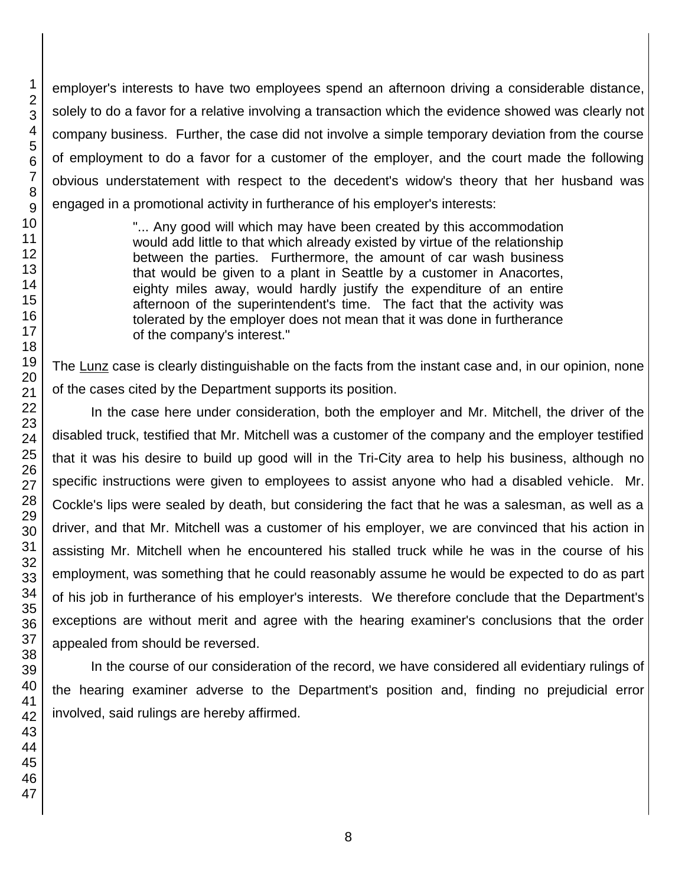employer's interests to have two employees spend an afternoon driving a considerable distance, solely to do a favor for a relative involving a transaction which the evidence showed was clearly not company business. Further, the case did not involve a simple temporary deviation from the course of employment to do a favor for a customer of the employer, and the court made the following obvious understatement with respect to the decedent's widow's theory that her husband was engaged in a promotional activity in furtherance of his employer's interests:

> "... Any good will which may have been created by this accommodation would add little to that which already existed by virtue of the relationship between the parties. Furthermore, the amount of car wash business that would be given to a plant in Seattle by a customer in Anacortes, eighty miles away, would hardly justify the expenditure of an entire afternoon of the superintendent's time. The fact that the activity was tolerated by the employer does not mean that it was done in furtherance of the company's interest."

The Lunz case is clearly distinguishable on the facts from the instant case and, in our opinion, none of the cases cited by the Department supports its position.

In the case here under consideration, both the employer and Mr. Mitchell, the driver of the disabled truck, testified that Mr. Mitchell was a customer of the company and the employer testified that it was his desire to build up good will in the Tri-City area to help his business, although no specific instructions were given to employees to assist anyone who had a disabled vehicle. Mr. Cockle's lips were sealed by death, but considering the fact that he was a salesman, as well as a driver, and that Mr. Mitchell was a customer of his employer, we are convinced that his action in assisting Mr. Mitchell when he encountered his stalled truck while he was in the course of his employment, was something that he could reasonably assume he would be expected to do as part of his job in furtherance of his employer's interests. We therefore conclude that the Department's exceptions are without merit and agree with the hearing examiner's conclusions that the order appealed from should be reversed.

In the course of our consideration of the record, we have considered all evidentiary rulings of the hearing examiner adverse to the Department's position and, finding no prejudicial error involved, said rulings are hereby affirmed.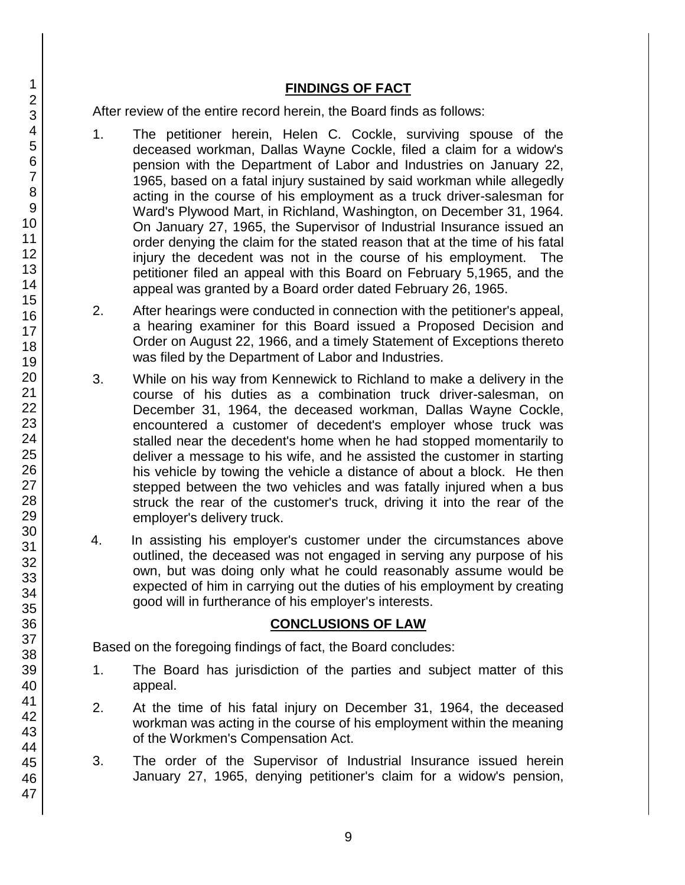# **FINDINGS OF FACT**

After review of the entire record herein, the Board finds as follows:

- 1. The petitioner herein, Helen C. Cockle, surviving spouse of the deceased workman, Dallas Wayne Cockle, filed a claim for a widow's pension with the Department of Labor and Industries on January 22, 1965, based on a fatal injury sustained by said workman while allegedly acting in the course of his employment as a truck driver-salesman for Ward's Plywood Mart, in Richland, Washington, on December 31, 1964. On January 27, 1965, the Supervisor of Industrial Insurance issued an order denying the claim for the stated reason that at the time of his fatal injury the decedent was not in the course of his employment. The petitioner filed an appeal with this Board on February 5,1965, and the appeal was granted by a Board order dated February 26, 1965.
- 2. After hearings were conducted in connection with the petitioner's appeal, a hearing examiner for this Board issued a Proposed Decision and Order on August 22, 1966, and a timely Statement of Exceptions thereto was filed by the Department of Labor and Industries.
- 3. While on his way from Kennewick to Richland to make a delivery in the course of his duties as a combination truck driver-salesman, on December 31, 1964, the deceased workman, Dallas Wayne Cockle, encountered a customer of decedent's employer whose truck was stalled near the decedent's home when he had stopped momentarily to deliver a message to his wife, and he assisted the customer in starting his vehicle by towing the vehicle a distance of about a block. He then stepped between the two vehicles and was fatally injured when a bus struck the rear of the customer's truck, driving it into the rear of the employer's delivery truck.
- 4. In assisting his employer's customer under the circumstances above outlined, the deceased was not engaged in serving any purpose of his own, but was doing only what he could reasonably assume would be expected of him in carrying out the duties of his employment by creating good will in furtherance of his employer's interests.

#### **CONCLUSIONS OF LAW**

Based on the foregoing findings of fact, the Board concludes:

- 1. The Board has jurisdiction of the parties and subject matter of this appeal.
- 2. At the time of his fatal injury on December 31, 1964, the deceased workman was acting in the course of his employment within the meaning of the Workmen's Compensation Act.
- 3. The order of the Supervisor of Industrial Insurance issued herein January 27, 1965, denying petitioner's claim for a widow's pension,